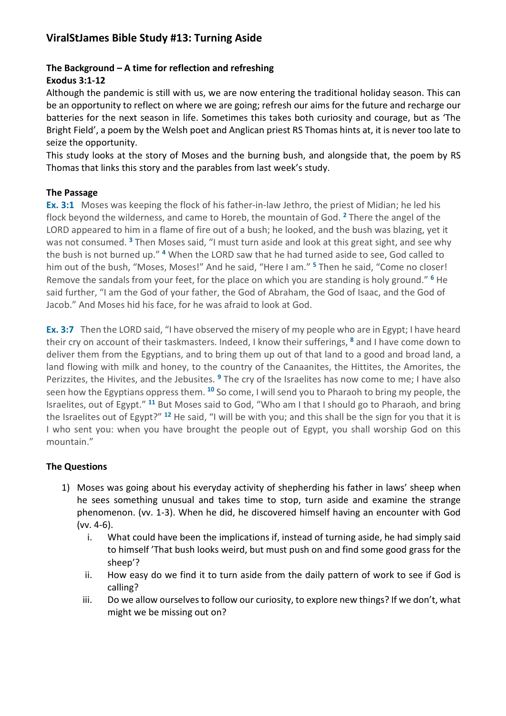## **ViralStJames Bible Study #13: Turning Aside**

# **The Background – A time for reflection and refreshing**

## **Exodus 3:1-12**

Although the pandemic is still with us, we are now entering the traditional holiday season. This can be an opportunity to reflect on where we are going; refresh our aims for the future and recharge our batteries for the next season in life. Sometimes this takes both curiosity and courage, but as 'The Bright Field', a poem by the Welsh poet and Anglican priest RS Thomas hints at, it is never too late to seize the opportunity.

This study looks at the story of Moses and the burning bush, and alongside that, the poem by RS Thomas that links this story and the parables from last week's study.

#### **The Passage**

**Ex. 3:1** Moses was keeping the flock of his father-in-law Jethro, the priest of Midian; he led his flock beyond the wilderness, and came to Horeb, the mountain of God. **<sup>2</sup>** There the angel of the LORD appeared to him in a flame of fire out of a bush; he looked, and the bush was blazing, yet it was not consumed. **<sup>3</sup>** Then Moses said, "I must turn aside and look at this great sight, and see why the bush is not burned up." **<sup>4</sup>** When the LORD saw that he had turned aside to see, God called to him out of the bush, "Moses, Moses!" And he said, "Here I am." **<sup>5</sup>** Then he said, "Come no closer! Remove the sandals from your feet, for the place on which you are standing is holy ground." **<sup>6</sup>** He said further, "I am the God of your father, the God of Abraham, the God of Isaac, and the God of Jacob." And Moses hid his face, for he was afraid to look at God.

**Ex. 3:7** Then the LORD said, "I have observed the misery of my people who are in Egypt; I have heard their cry on account of their taskmasters. Indeed, I know their sufferings, **<sup>8</sup>** and I have come down to deliver them from the Egyptians, and to bring them up out of that land to a good and broad land, a land flowing with milk and honey, to the country of the Canaanites, the Hittites, the Amorites, the Perizzites, the Hivites, and the Jebusites. **<sup>9</sup>** The cry of the Israelites has now come to me; I have also seen how the Egyptians oppress them. **<sup>10</sup>** So come, I will send you to Pharaoh to bring my people, the Israelites, out of Egypt." **<sup>11</sup>** But Moses said to God, "Who am I that I should go to Pharaoh, and bring the Israelites out of Egypt?" **<sup>12</sup>** He said, "I will be with you; and this shall be the sign for you that it is I who sent you: when you have brought the people out of Egypt, you shall worship God on this mountain."

## **The Questions**

- 1) Moses was going about his everyday activity of shepherding his father in laws' sheep when he sees something unusual and takes time to stop, turn aside and examine the strange phenomenon. (vv. 1-3). When he did, he discovered himself having an encounter with God (vv. 4-6).
	- i. What could have been the implications if, instead of turning aside, he had simply said to himself 'That bush looks weird, but must push on and find some good grass for the sheep'?
	- ii. How easy do we find it to turn aside from the daily pattern of work to see if God is calling?
	- iii. Do we allow ourselves to follow our curiosity, to explore new things? If we don't, what might we be missing out on?